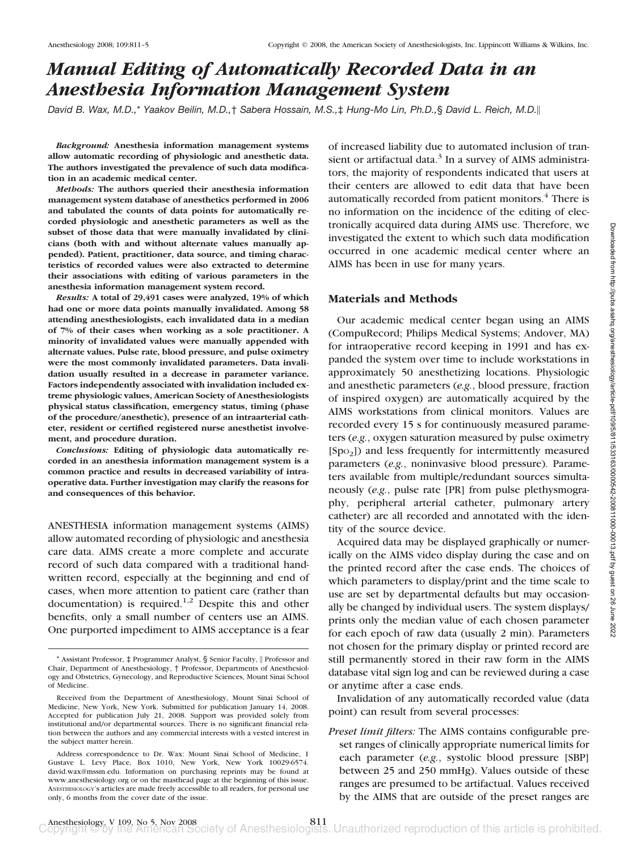# *Manual Editing of Automatically Recorded Data in an Anesthesia Information Management System*

*David B. Wax, M.D.,*\* *Yaakov Beilin, M.D.,*† *Sabera Hossain, M.S.,*‡ *Hung-Mo Lin, Ph.D.,*§ *David L. Reich, M.D.*

*Background:* **Anesthesia information management systems allow automatic recording of physiologic and anesthetic data. The authors investigated the prevalence of such data modification in an academic medical center.**

*Methods:* **The authors queried their anesthesia information management system database of anesthetics performed in 2006 and tabulated the counts of data points for automatically recorded physiologic and anesthetic parameters as well as the subset of those data that were manually invalidated by clinicians (both with and without alternate values manually appended). Patient, practitioner, data source, and timing characteristics of recorded values were also extracted to determine their associations with editing of various parameters in the anesthesia information management system record.**

*Results:* **A total of 29,491 cases were analyzed, 19% of which had one or more data points manually invalidated. Among 58 attending anesthesiologists, each invalidated data in a median of 7% of their cases when working as a sole practitioner. A minority of invalidated values were manually appended with alternate values. Pulse rate, blood pressure, and pulse oximetry were the most commonly invalidated parameters. Data invalidation usually resulted in a decrease in parameter variance. Factors independently associated with invalidation included extreme physiologic values, American Society of Anesthesiologists physical status classification, emergency status, timing (phase of the procedure/anesthetic), presence of an intraarterial catheter, resident or certified registered nurse anesthetist involvement, and procedure duration.**

*Conclusions:* **Editing of physiologic data automatically recorded in an anesthesia information management system is a common practice and results in decreased variability of intraoperative data. Further investigation may clarify the reasons for and consequences of this behavior.**

ANESTHESIA information management systems (AIMS) allow automated recording of physiologic and anesthesia care data. AIMS create a more complete and accurate record of such data compared with a traditional handwritten record, especially at the beginning and end of cases, when more attention to patient care (rather than documentation) is required.<sup>1,2</sup> Despite this and other benefits, only a small number of centers use an AIMS. One purported impediment to AIMS acceptance is a fear

of increased liability due to automated inclusion of transient or artifactual data. $3$  In a survey of AIMS administrators, the majority of respondents indicated that users at their centers are allowed to edit data that have been automatically recorded from patient monitors.<sup>4</sup> There is no information on the incidence of the editing of electronically acquired data during AIMS use. Therefore, we investigated the extent to which such data modification occurred in one academic medical center where an AIMS has been in use for many years.

#### **Materials and Methods**

Our academic medical center began using an AIMS (CompuRecord; Philips Medical Systems; Andover, MA) for intraoperative record keeping in 1991 and has expanded the system over time to include workstations in approximately 50 anesthetizing locations. Physiologic and anesthetic parameters (*e.g.*, blood pressure, fraction of inspired oxygen) are automatically acquired by the AIMS workstations from clinical monitors. Values are recorded every 15 s for continuously measured parameters (*e.g.*, oxygen saturation measured by pulse oximetry  $[Spo<sub>2</sub>]$ ) and less frequently for intermittently measured parameters (*e.g.*, noninvasive blood pressure). Parameters available from multiple/redundant sources simultaneously (*e.g.*, pulse rate [PR] from pulse plethysmography, peripheral arterial catheter, pulmonary artery catheter) are all recorded and annotated with the identity of the source device.

Acquired data may be displayed graphically or numerically on the AIMS video display during the case and on the printed record after the case ends. The choices of which parameters to display/print and the time scale to use are set by departmental defaults but may occasionally be changed by individual users. The system displays/ prints only the median value of each chosen parameter for each epoch of raw data (usually 2 min). Parameters not chosen for the primary display or printed record are still permanently stored in their raw form in the AIMS database vital sign log and can be reviewed during a case or anytime after a case ends.

Invalidation of any automatically recorded value (data point) can result from several processes:

*Preset limit filters:* The AIMS contains configurable preset ranges of clinically appropriate numerical limits for each parameter (*e.g.*, systolic blood pressure [SBP] between 25 and 250 mmHg). Values outside of these ranges are presumed to be artifactual. Values received by the AIMS that are outside of the preset ranges are

<sup>\*</sup> Assistant Professor, ‡ Programmer Analyst, § Senior Faculty, Professor and Chair, Department of Anesthesiology, † Professor, Departments of Anesthesiology and Obstetrics, Gynecology, and Reproductive Sciences, Mount Sinai School of Medicine.

Received from the Department of Anesthesiology, Mount Sinai School of Medicine, New York, New York. Submitted for publication January 14, 2008. Accepted for publication July 21, 2008. Support was provided solely from institutional and/or departmental sources. There is no significant financial relation between the authors and any commercial interests with a vested interest in the subject matter herein.

Address correspondence to Dr. Wax: Mount Sinai School of Medicine, 1 Gustave L. Levy Place, Box 1010, New York, New York 10029-6574. david.wax@mssm.edu. Information on purchasing reprints may be found at www.anesthesiology.org or on the masthead page at the beginning of this issue. ANESTHESIOLOGY's articles are made freely accessible to all readers, for personal use only, 6 months from the cover date of the issue.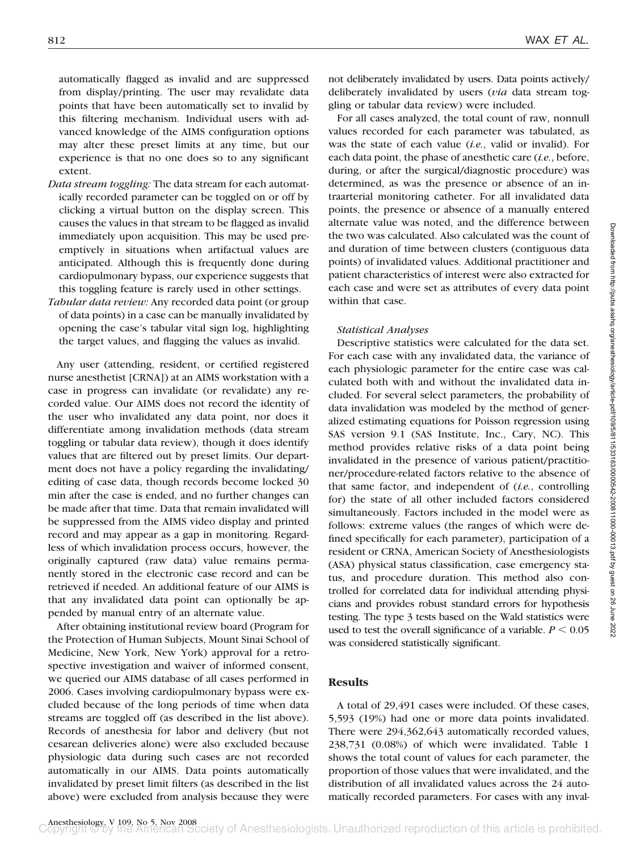automatically flagged as invalid and are suppressed from display/printing. The user may revalidate data points that have been automatically set to invalid by this filtering mechanism. Individual users with advanced knowledge of the AIMS configuration options may alter these preset limits at any time, but our experience is that no one does so to any significant extent.

- *Data stream toggling:* The data stream for each automatically recorded parameter can be toggled on or off by clicking a virtual button on the display screen. This causes the values in that stream to be flagged as invalid immediately upon acquisition. This may be used preemptively in situations when artifactual values are anticipated. Although this is frequently done during cardiopulmonary bypass, our experience suggests that this toggling feature is rarely used in other settings.
- *Tabular data review:* Any recorded data point (or group of data points) in a case can be manually invalidated by opening the case's tabular vital sign log, highlighting the target values, and flagging the values as invalid.

Any user (attending, resident, or certified registered nurse anesthetist [CRNA]) at an AIMS workstation with a case in progress can invalidate (or revalidate) any recorded value. Our AIMS does not record the identity of the user who invalidated any data point, nor does it differentiate among invalidation methods (data stream toggling or tabular data review), though it does identify values that are filtered out by preset limits. Our department does not have a policy regarding the invalidating/ editing of case data, though records become locked 30 min after the case is ended, and no further changes can be made after that time. Data that remain invalidated will be suppressed from the AIMS video display and printed record and may appear as a gap in monitoring. Regardless of which invalidation process occurs, however, the originally captured (raw data) value remains permanently stored in the electronic case record and can be retrieved if needed. An additional feature of our AIMS is that any invalidated data point can optionally be appended by manual entry of an alternate value.

After obtaining institutional review board (Program for the Protection of Human Subjects, Mount Sinai School of Medicine, New York, New York) approval for a retrospective investigation and waiver of informed consent, we queried our AIMS database of all cases performed in 2006. Cases involving cardiopulmonary bypass were excluded because of the long periods of time when data streams are toggled off (as described in the list above). Records of anesthesia for labor and delivery (but not cesarean deliveries alone) were also excluded because physiologic data during such cases are not recorded automatically in our AIMS. Data points automatically invalidated by preset limit filters (as described in the list above) were excluded from analysis because they were

not deliberately invalidated by users. Data points actively/ deliberately invalidated by users (*via* data stream toggling or tabular data review) were included.

For all cases analyzed, the total count of raw, nonnull values recorded for each parameter was tabulated, as was the state of each value (*i.e.*, valid or invalid). For each data point, the phase of anesthetic care (*i.e.*, before, during, or after the surgical/diagnostic procedure) was determined, as was the presence or absence of an intraarterial monitoring catheter. For all invalidated data points, the presence or absence of a manually entered alternate value was noted, and the difference between the two was calculated. Also calculated was the count of and duration of time between clusters (contiguous data points) of invalidated values. Additional practitioner and patient characteristics of interest were also extracted for each case and were set as attributes of every data point within that case.

### *Statistical Analyses*

Descriptive statistics were calculated for the data set. For each case with any invalidated data, the variance of each physiologic parameter for the entire case was calculated both with and without the invalidated data included. For several select parameters, the probability of data invalidation was modeled by the method of generalized estimating equations for Poisson regression using SAS version 9.1 (SAS Institute, Inc., Cary, NC). This method provides relative risks of a data point being invalidated in the presence of various patient/practitioner/procedure-related factors relative to the absence of that same factor, and independent of (*i.e.*, controlling for) the state of all other included factors considered simultaneously. Factors included in the model were as follows: extreme values (the ranges of which were defined specifically for each parameter), participation of a resident or CRNA, American Society of Anesthesiologists (ASA) physical status classification, case emergency status, and procedure duration. This method also controlled for correlated data for individual attending physicians and provides robust standard errors for hypothesis testing. The type 3 tests based on the Wald statistics were used to test the overall significance of a variable.  $P \leq 0.05$ was considered statistically significant.

## **Results**

A total of 29,491 cases were included. Of these cases, 5,593 (19%) had one or more data points invalidated. There were 294,362,643 automatically recorded values, 238,731 (0.08%) of which were invalidated. Table 1 shows the total count of values for each parameter, the proportion of those values that were invalidated, and the distribution of all invalidated values across the 24 automatically recorded parameters. For cases with any inval-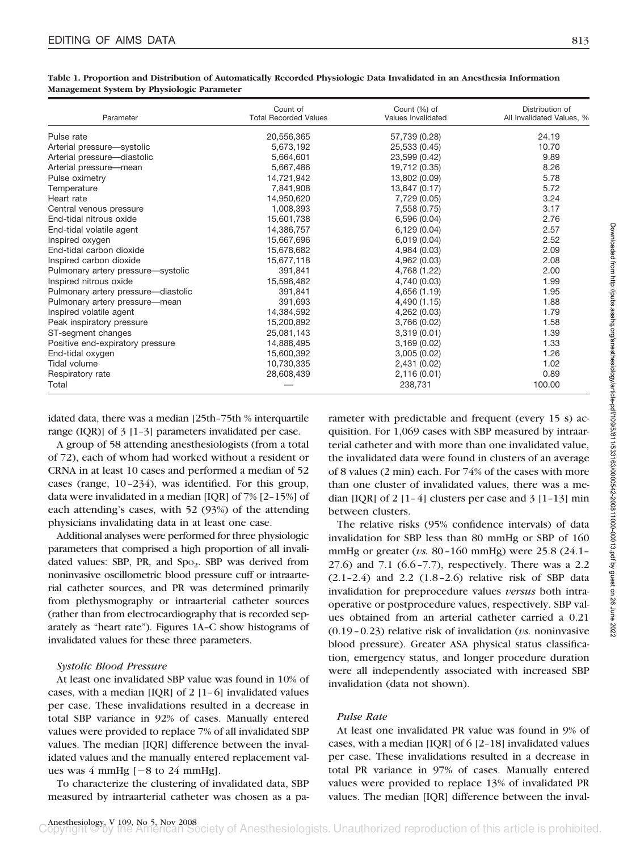| Parameter                           | Count of<br><b>Total Recorded Values</b> | Count (%) of<br>Values Invalidated | Distribution of<br>All Invalidated Values, % |
|-------------------------------------|------------------------------------------|------------------------------------|----------------------------------------------|
| Pulse rate                          | 20,556,365                               | 57,739 (0.28)                      | 24.19                                        |
| Arterial pressure-systolic          | 5,673,192                                | 25,533 (0.45)                      | 10.70                                        |
| Arterial pressure-diastolic         | 5,664,601                                | 23,599 (0.42)                      | 9.89                                         |
| Arterial pressure-mean              | 5,667,486                                | 19,712 (0.35)                      | 8.26                                         |
| Pulse oximetry                      | 14,721,942                               | 13,802 (0.09)                      | 5.78                                         |
| Temperature                         | 7,841,908                                | 13,647 (0.17)                      | 5.72                                         |
| Heart rate                          | 14,950,620                               | 7,729 (0.05)                       | 3.24                                         |
| Central venous pressure             | 1,008,393                                | 7,558 (0.75)                       | 3.17                                         |
| End-tidal nitrous oxide             | 15,601,738                               | 6,596(0.04)                        | 2.76                                         |
| End-tidal volatile agent            | 14.386.757                               | 6,129(0.04)                        | 2.57                                         |
| Inspired oxygen                     | 15,667,696                               | 6,019(0.04)                        | 2.52                                         |
| End-tidal carbon dioxide            | 15,678,682                               | 4,984 (0.03)                       | 2.09                                         |
| Inspired carbon dioxide             | 15,677,118                               | 4,962 (0.03)                       | 2.08                                         |
| Pulmonary artery pressure-systolic  | 391.841                                  | 4,768 (1.22)                       | 2.00                                         |
| Inspired nitrous oxide              | 15,596,482                               | 4,740 (0.03)                       | 1.99                                         |
| Pulmonary artery pressure-diastolic | 391.841                                  | 4,656 (1.19)                       | 1.95                                         |
| Pulmonary artery pressure-mean      | 391,693                                  | 4,490 (1.15)                       | 1.88                                         |
| Inspired volatile agent             | 14,384,592                               | 4,262 (0.03)                       | 1.79                                         |
| Peak inspiratory pressure           | 15,200,892                               | 3,766 (0.02)                       | 1.58                                         |
| ST-segment changes                  | 25,081,143                               | 3,319(0.01)                        | 1.39                                         |
| Positive end-expiratory pressure    | 14.888.495                               | 3,169(0.02)                        | 1.33                                         |
| End-tidal oxygen                    | 15,600,392                               | 3,005(0.02)                        | 1.26                                         |
| Tidal volume                        | 10,730,335                               | 2,431 (0.02)                       | 1.02                                         |
| Respiratory rate                    | 28.608.439                               | 2,116(0.01)                        | 0.89                                         |
| Total                               |                                          | 238,731                            | 100.00                                       |

**Table 1. Proportion and Distribution of Automatically Recorded Physiologic Data Invalidated in an Anesthesia Information Management System by Physiologic Parameter**

idated data, there was a median [25th–75th % interquartile range (IQR)] of 3 [1–3] parameters invalidated per case.

A group of 58 attending anesthesiologists (from a total of 72), each of whom had worked without a resident or CRNA in at least 10 cases and performed a median of 52 cases (range, 10–234), was identified. For this group, data were invalidated in a median [IQR] of 7% [2–15%] of each attending's cases, with 52 (93%) of the attending physicians invalidating data in at least one case.

Additional analyses were performed for three physiologic parameters that comprised a high proportion of all invalidated values: SBP, PR, and  $Spo<sub>2</sub>$ . SBP was derived from noninvasive oscillometric blood pressure cuff or intraarterial catheter sources, and PR was determined primarily from plethysmography or intraarterial catheter sources (rather than from electrocardiography that is recorded separately as "heart rate"). Figures 1A–C show histograms of invalidated values for these three parameters.

#### *Systolic Blood Pressure*

At least one invalidated SBP value was found in 10% of cases, with a median [IQR] of 2 [1–6] invalidated values per case. These invalidations resulted in a decrease in total SBP variance in 92% of cases. Manually entered values were provided to replace 7% of all invalidated SBP values. The median [IQR] difference between the invalidated values and the manually entered replacement values was  $4 \text{ mmHg}$  [ $-8 \text{ to } 24 \text{ mmHg}$ ].

To characterize the clustering of invalidated data, SBP measured by intraarterial catheter was chosen as a pa-

rameter with predictable and frequent (every 15 s) acquisition. For 1,069 cases with SBP measured by intraarterial catheter and with more than one invalidated value, the invalidated data were found in clusters of an average of 8 values (2 min) each. For 74% of the cases with more than one cluster of invalidated values, there was a median  $[IQR]$  of 2  $[1-4]$  clusters per case and 3  $[1-13]$  min between clusters.

The relative risks (95% confidence intervals) of data invalidation for SBP less than 80 mmHg or SBP of 160 mmHg or greater (*vs.* 80–160 mmHg) were 25.8 (24.1– 27.6) and 7.1 (6.6–7.7), respectively. There was a 2.2 (2.1–2.4) and 2.2 (1.8–2.6) relative risk of SBP data invalidation for preprocedure values *versus* both intraoperative or postprocedure values, respectively. SBP values obtained from an arterial catheter carried a 0.21 (0.19–0.23) relative risk of invalidation (*vs.* noninvasive blood pressure). Greater ASA physical status classification, emergency status, and longer procedure duration were all independently associated with increased SBP invalidation (data not shown).

## *Pulse Rate*

At least one invalidated PR value was found in 9% of cases, with a median [IQR] of 6 [2–18] invalidated values per case. These invalidations resulted in a decrease in total PR variance in 97% of cases. Manually entered values were provided to replace 13% of invalidated PR values. The median [IQR] difference between the inval-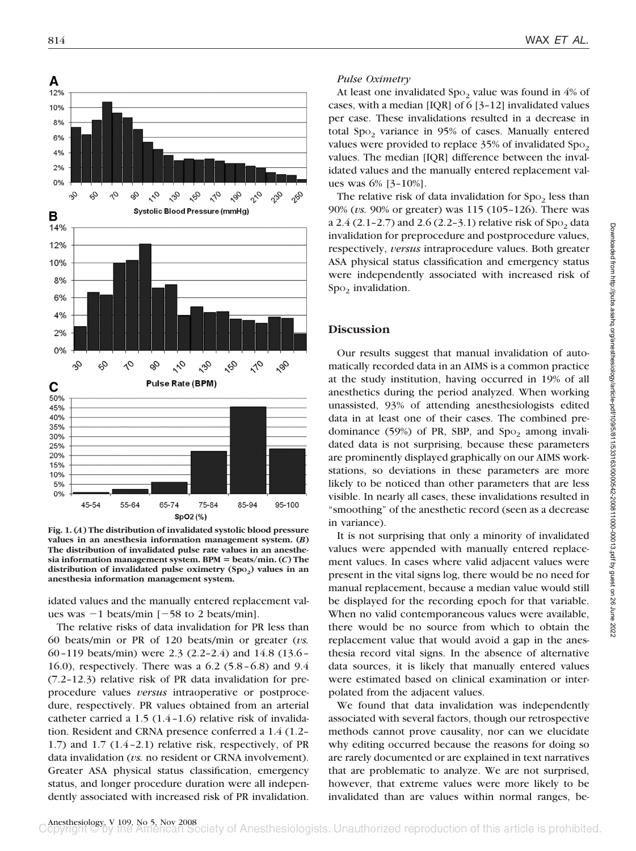

**Fig. 1. (***A***) The distribution of invalidated systolic blood pressure values in an anesthesia information management system. (***B***) The distribution of invalidated pulse rate values in an anesthe-** $\sin$  information management system. BPM = beats/min. (*C*) The distribution of invalidated pulse oximetry (Spo<sub>2</sub>) values in an **anesthesia information management system.**

idated values and the manually entered replacement values was  $-1$  beats/min  $[-58$  to 2 beats/min].

The relative risks of data invalidation for PR less than 60 beats/min or PR of 120 beats/min or greater (*vs.* 60–119 beats/min) were 2.3 (2.2–2.4) and 14.8 (13.6– 16.0), respectively. There was a 6.2 (5.8–6.8) and 9.4 (7.2–12.3) relative risk of PR data invalidation for preprocedure values *versus* intraoperative or postprocedure, respectively. PR values obtained from an arterial catheter carried a 1.5 (1.4–1.6) relative risk of invalidation. Resident and CRNA presence conferred a 1.4 (1.2– 1.7) and 1.7 (1.4–2.1) relative risk, respectively, of PR data invalidation (*vs.* no resident or CRNA involvement). Greater ASA physical status classification, emergency status, and longer procedure duration were all independently associated with increased risk of PR invalidation.

#### *Pulse Oximetry*

At least one invalidated  $Spo<sub>2</sub>$  value was found in 4% of cases, with a median [IQR] of 6 [3–12] invalidated values per case. These invalidations resulted in a decrease in total Spo<sub>2</sub> variance in 95% of cases. Manually entered values were provided to replace  $35\%$  of invalidated  $Spo<sub>2</sub>$ values. The median [IQR] difference between the invalidated values and the manually entered replacement values was 6% [3–10%].

The relative risk of data invalidation for  $Spo<sub>2</sub>$  less than 90% (*vs.* 90% or greater) was 115 (105–126). There was a  $2.4$  (2.1-2.7) and  $2.6$  (2.2-3.1) relative risk of Spo<sub>2</sub> data invalidation for preprocedure and postprocedure values, respectively, *versus* intraprocedure values. Both greater ASA physical status classification and emergency status were independently associated with increased risk of  $Spo<sub>2</sub>$  invalidation.

## **Discussion**

Our results suggest that manual invalidation of automatically recorded data in an AIMS is a common practice at the study institution, having occurred in 19% of all anesthetics during the period analyzed. When working unassisted, 93% of attending anesthesiologists edited data in at least one of their cases. The combined predominance  $(59\%)$  of PR, SBP, and Spo<sub>2</sub> among invalidated data is not surprising, because these parameters are prominently displayed graphically on our AIMS workstations, so deviations in these parameters are more likely to be noticed than other parameters that are less visible. In nearly all cases, these invalidations resulted in "smoothing" of the anesthetic record (seen as a decrease in variance).

It is not surprising that only a minority of invalidated values were appended with manually entered replacement values. In cases where valid adjacent values were present in the vital signs log, there would be no need for manual replacement, because a median value would still be displayed for the recording epoch for that variable. When no valid contemporaneous values were available, there would be no source from which to obtain the replacement value that would avoid a gap in the anesthesia record vital signs. In the absence of alternative data sources, it is likely that manually entered values were estimated based on clinical examination or interpolated from the adjacent values.

We found that data invalidation was independently associated with several factors, though our retrospective methods cannot prove causality, nor can we elucidate why editing occurred because the reasons for doing so are rarely documented or are explained in text narratives that are problematic to analyze. We are not surprised, however, that extreme values were more likely to be invalidated than are values within normal ranges, be-